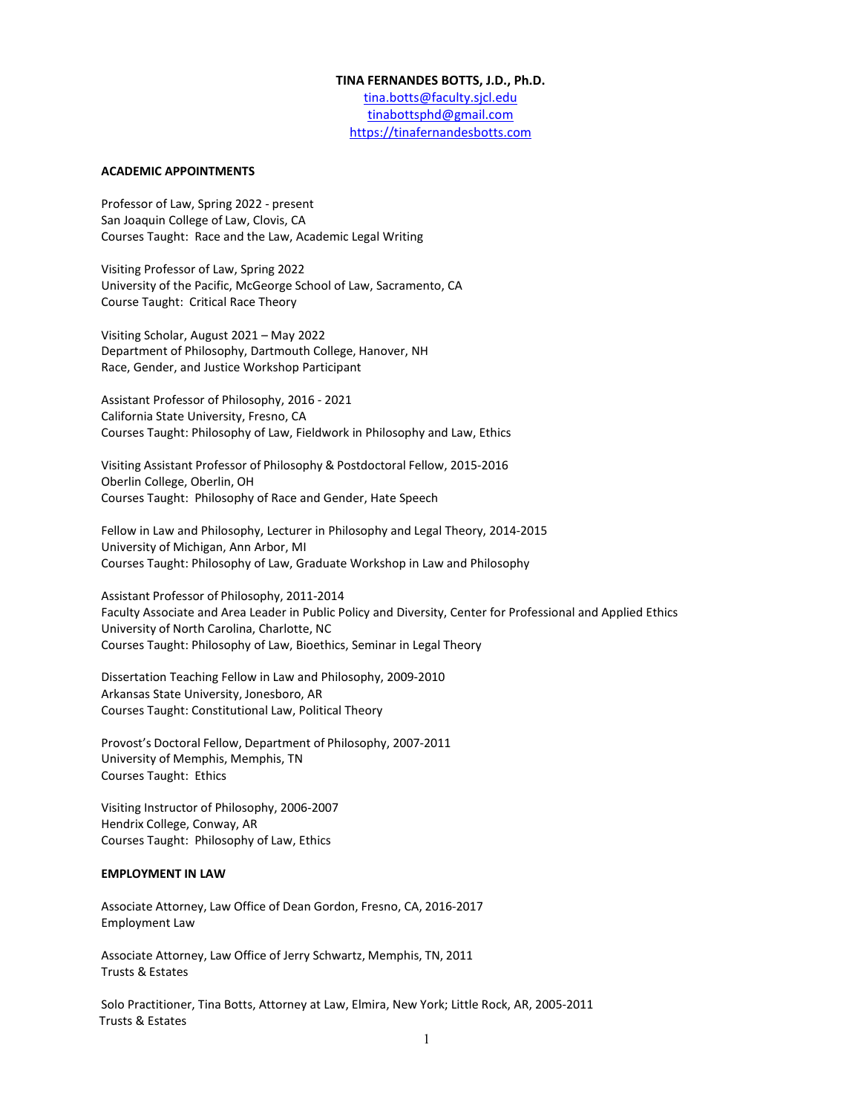### **TINA FERNANDES BOTTS, J.D., Ph.D.**

tina.botts@faculty.sjcl.edu [tinabottsphd@gmail.com](mailto:tinabottsphd@gmail.com) [https://tinafernandesbotts.com](https://tinafernandesbotts.com/) 

## **ACADEMIC APPOINTMENTS**

Professor of Law, Spring 2022 - present San Joaquin College of Law, Clovis, CA Courses Taught: Race and the Law, Academic Legal Writing

Visiting Professor of Law, Spring 2022 University of the Pacific, McGeorge School of Law, Sacramento, CA Course Taught: Critical Race Theory

Visiting Scholar, August 2021 – May 2022 Department of Philosophy, Dartmouth College, Hanover, NH Race, Gender, and Justice Workshop Participant

Assistant Professor of Philosophy, 2016 - 2021 California State University, Fresno, CA Courses Taught: Philosophy of Law, Fieldwork in Philosophy and Law, Ethics

Visiting Assistant Professor of Philosophy & Postdoctoral Fellow, 2015-2016 Oberlin College, Oberlin, OH Courses Taught: Philosophy of Race and Gender, Hate Speech

Fellow in Law and Philosophy, Lecturer in Philosophy and Legal Theory, 2014-2015 University of Michigan, Ann Arbor, MI Courses Taught: Philosophy of Law, Graduate Workshop in Law and Philosophy

Assistant Professor of Philosophy, 2011-2014 Faculty Associate and Area Leader in Public Policy and Diversity, Center for Professional and Applied Ethics University of North Carolina, Charlotte, NC Courses Taught: Philosophy of Law, Bioethics, Seminar in Legal Theory

Dissertation Teaching Fellow in Law and Philosophy, 2009-2010 Arkansas State University, Jonesboro, AR Courses Taught: Constitutional Law, Political Theory

Provost's Doctoral Fellow, Department of Philosophy, 2007-2011 University of Memphis, Memphis, TN Courses Taught: Ethics

Visiting Instructor of Philosophy, 2006-2007 Hendrix College, Conway, AR Courses Taught: Philosophy of Law, Ethics

# **EMPLOYMENT IN LAW**

Associate Attorney, Law Office of Dean Gordon, Fresno, CA, 2016-2017 Employment Law

Associate Attorney, Law Office of Jerry Schwartz, Memphis, TN, 2011 Trusts & Estates

Solo Practitioner, Tina Botts, Attorney at Law, Elmira, New York; Little Rock, AR, 2005-2011 Trusts & Estates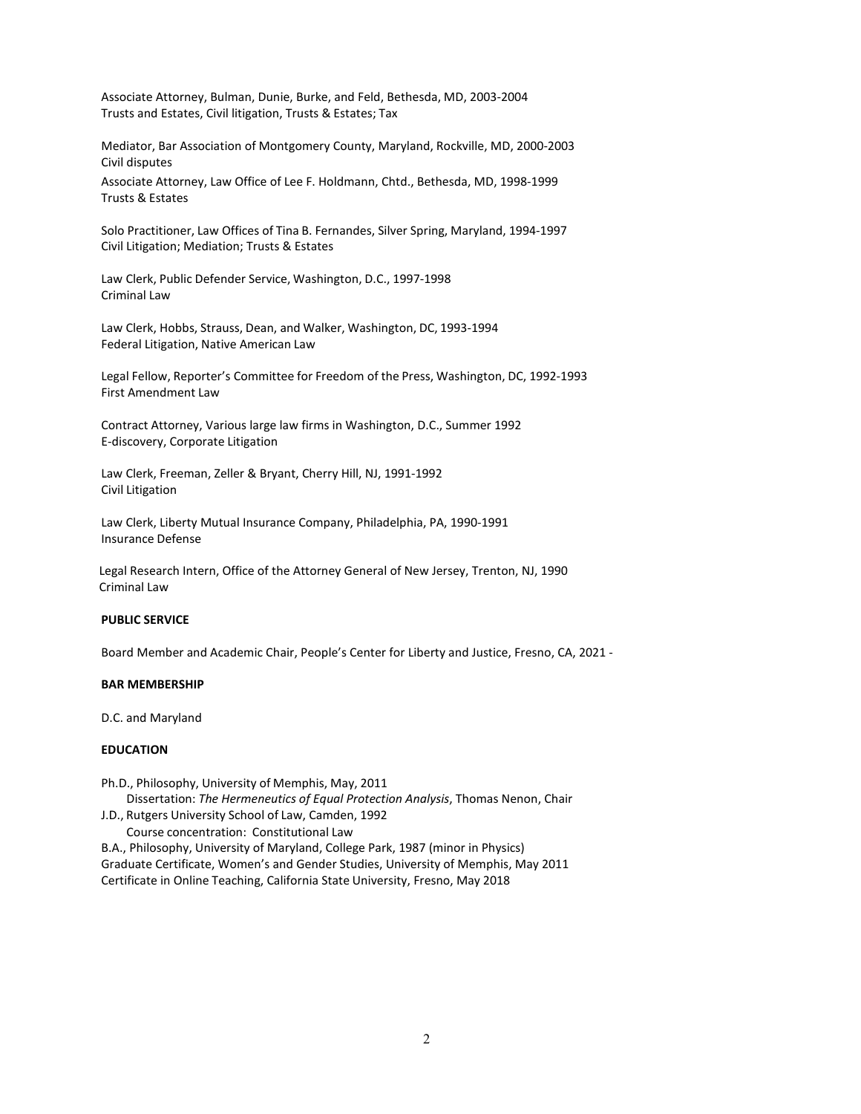Associate Attorney, Bulman, Dunie, Burke, and Feld, Bethesda, MD, 2003-2004 Trusts and Estates, Civil litigation, Trusts & Estates; Tax

Mediator, Bar Association of Montgomery County, Maryland, Rockville, MD, 2000-2003 Civil disputes

Associate Attorney, Law Office of Lee F. Holdmann, Chtd., Bethesda, MD, 1998-1999 Trusts & Estates

Solo Practitioner, Law Offices of Tina B. Fernandes, Silver Spring, Maryland, 1994-1997 Civil Litigation; Mediation; Trusts & Estates

Law Clerk, Public Defender Service, Washington, D.C., 1997-1998 Criminal Law

Law Clerk, Hobbs, Strauss, Dean, and Walker, Washington, DC, 1993-1994 Federal Litigation, Native American Law

Legal Fellow, Reporter's Committee for Freedom of the Press, Washington, DC, 1992-1993 First Amendment Law

Contract Attorney, Various large law firms in Washington, D.C., Summer 1992 E-discovery, Corporate Litigation

Law Clerk, Freeman, Zeller & Bryant, Cherry Hill, NJ, 1991-1992 Civil Litigation

Law Clerk, Liberty Mutual Insurance Company, Philadelphia, PA, 1990-1991 Insurance Defense

Legal Research Intern, Office of the Attorney General of New Jersey, Trenton, NJ, 1990 Criminal Law

## **PUBLIC SERVICE**

Board Member and Academic Chair, People's Center for Liberty and Justice, Fresno, CA, 2021 -

### **BAR MEMBERSHIP**

D.C. and Maryland

## **EDUCATION**

Ph.D., Philosophy, University of Memphis, May, 2011

Dissertation: *The Hermeneutics of Equal Protection Analysis*, Thomas Nenon, Chair

J.D., Rutgers University School of Law, Camden, 1992 Course concentration: Constitutional Law

B.A., Philosophy, University of Maryland, College Park, 1987 (minor in Physics) Graduate Certificate, Women's and Gender Studies, University of Memphis, May 2011 Certificate in Online Teaching, California State University, Fresno, May 2018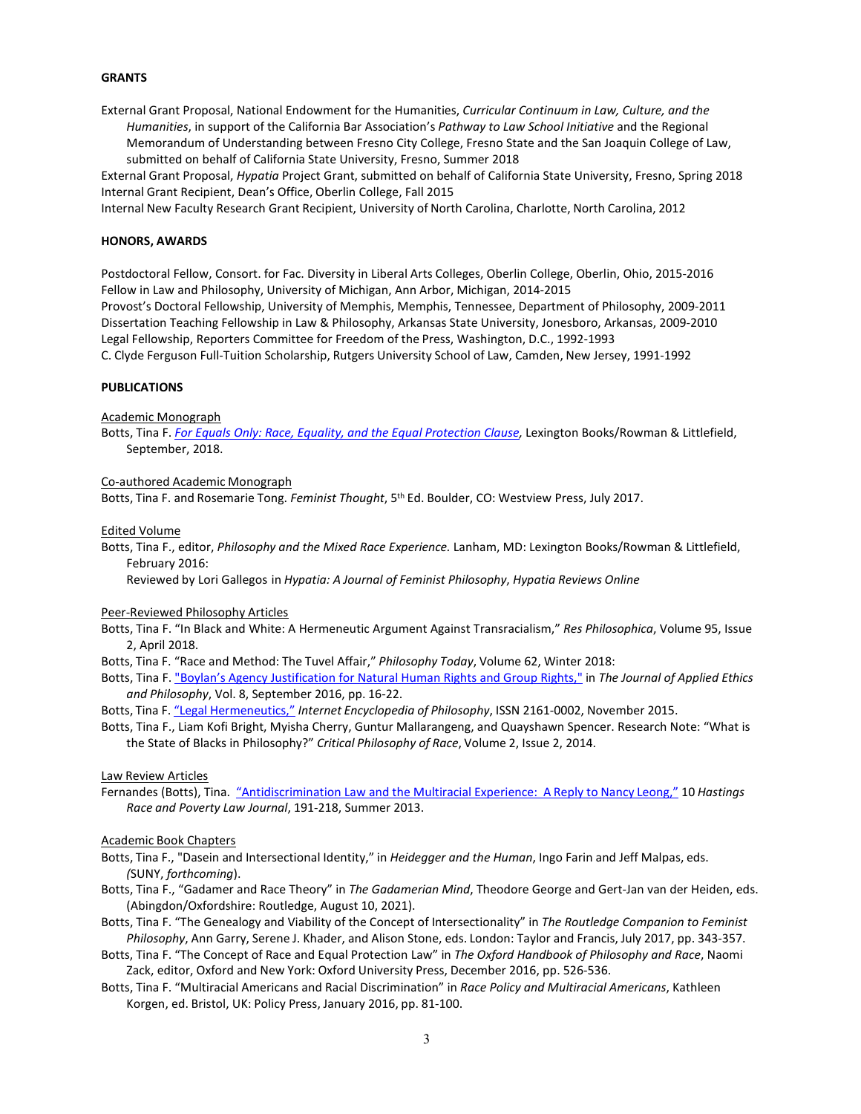## **GRANTS**

External Grant Proposal, National Endowment for the Humanities, *Curricular Continuum in Law, Culture, and the Humanities*, in support of the California Bar Association's *Pathway to Law School Initiative* and the Regional Memorandum of Understanding between Fresno City College, Fresno State and the San Joaquin College of Law, submitted on behalf of California State University, Fresno, Summer 2018

External Grant Proposal, *Hypatia* Project Grant, submitted on behalf of California State University, Fresno, Spring 2018 Internal Grant Recipient, Dean's Office, Oberlin College, Fall 2015

Internal New Faculty Research Grant Recipient, University of North Carolina, Charlotte, North Carolina, 2012

## **HONORS, AWARDS**

Postdoctoral Fellow, Consort. for Fac. Diversity in Liberal Arts Colleges, Oberlin College, Oberlin, Ohio, 2015-2016 Fellow in Law and Philosophy, University of Michigan, Ann Arbor, Michigan, 2014-2015 Provost's Doctoral Fellowship, University of Memphis, Memphis, Tennessee, Department of Philosophy, 2009-2011 Dissertation Teaching Fellowship in Law & Philosophy, Arkansas State University, Jonesboro, Arkansas, 2009-2010 Legal Fellowship, Reporters Committee for Freedom of the Press, Washington, D.C., 1992-1993 C. Clyde Ferguson Full-Tuition Scholarship, Rutgers University School of Law, Camden, New Jersey, 1991-1992

### **PUBLICATIONS**

Academic Monograph

Botts, Tina F. *[For Equals Only: Race, Equality, and the Equal Protection Clause,](https://rowman.com/ISBN/9781498501248/For-Equals-Only-Race-Equality-and-the-Equal-Protection-Clause)* Lexington Books/Rowman & Littlefield, September, 2018.

#### Co-authored Academic Monograph

Botts, Tina F. and Rosemarie Tong. *Feminist Thought*, 5th Ed. Boulder, CO: Westview Press, July 2017.

#### Edited Volume

Botts, Tina F., editor, *Philosophy and the Mixed Race Experience.* Lanham, MD: Lexington Books/Rowman & Littlefield, February 2016:

[Reviewed](https://drive.google.com/file/d/1rWp55aXN0sY3OImej78XJbdyNzZeQeUx/view?usp=sharing) by Lori Gallegos in *Hypatia: A Journal of Feminist Philosophy*, *Hypatia Reviews Online*

### Peer-Reviewed Philosophy Articles

- Botts, Tina F. "In Black and White: A Hermeneutic Argument Against Transracialism," *Res Philosophica*, Volume 95, Issue 2, April 2018.
- Botts, Tina F. "Race and Method: The Tuvel Affair," *Philosophy Today*, Volume 62, Winter 2018:
- Botts, Tina F[. "Boylan's Agency Justification for Natural Human Rights and Group Rights,"](http://eprints.lib.hokudai.ac.jp/journals/index.php?jname=368) in *The Journal of Applied Ethics and Philosophy*, Vol. 8, September 2016, pp. 16-22.
- Botts, Tina F. "Legal [Hermeneutics,"](http://www.iep.utm.edu/leg-herm/) *Internet Encyclopedia of Philosophy*, ISSN 2161-0002, November 2015.
- Botts, Tina F., Liam Kofi Bright, Myisha Cherry, Guntur Mallarangeng, and Quayshawn Spencer. Research Note: "What is the State of Blacks in Philosophy?" *Critical Philosophy of Race*, Volume 2, Issue 2, 2014.

## Law Review Articles

Fernandes (Botts), Tina. ["Antidiscrimination](https://repository.uchastings.edu/hastings_race_poverty_law_journal/vol10/iss2/2/) Law and the Multiracial Experience: A Reply to Nancy Leong," 10 *Hastings Race and Poverty Law Journal*, 191-218, Summer 2013.

### Academic Book Chapters

- Botts, Tina F., "Dasein and Intersectional Identity," in *Heidegger and the Human*, Ingo Farin and Jeff Malpas, eds. *(*SUNY, *forthcoming*).
- Botts, Tina F., "Gadamer and Race Theory" in *The Gadamerian Mind*, Theodore George and Gert-Jan van der Heiden, eds. (Abingdon/Oxfordshire: Routledge, August 10, 2021).
- Botts, Tina F. "The Genealogy and Viability of the Concept of Intersectionality" in *The Routledge Companion to Feminist Philosophy*, Ann Garry, Serene J. Khader, and Alison Stone, eds. London: Taylor and Francis, July 2017, pp. 343-357.
- Botts, Tina F. "The Concept of Race and Equal Protection Law" in *The Oxford Handbook of Philosophy and Race*, Naomi Zack, editor, Oxford and New York: Oxford University Press, December 2016, pp. 526-536.
- Botts, Tina F. "Multiracial Americans and Racial Discrimination" in *Race Policy and Multiracial Americans*, Kathleen Korgen, ed. Bristol, UK: Policy Press, January 2016, pp. 81-100.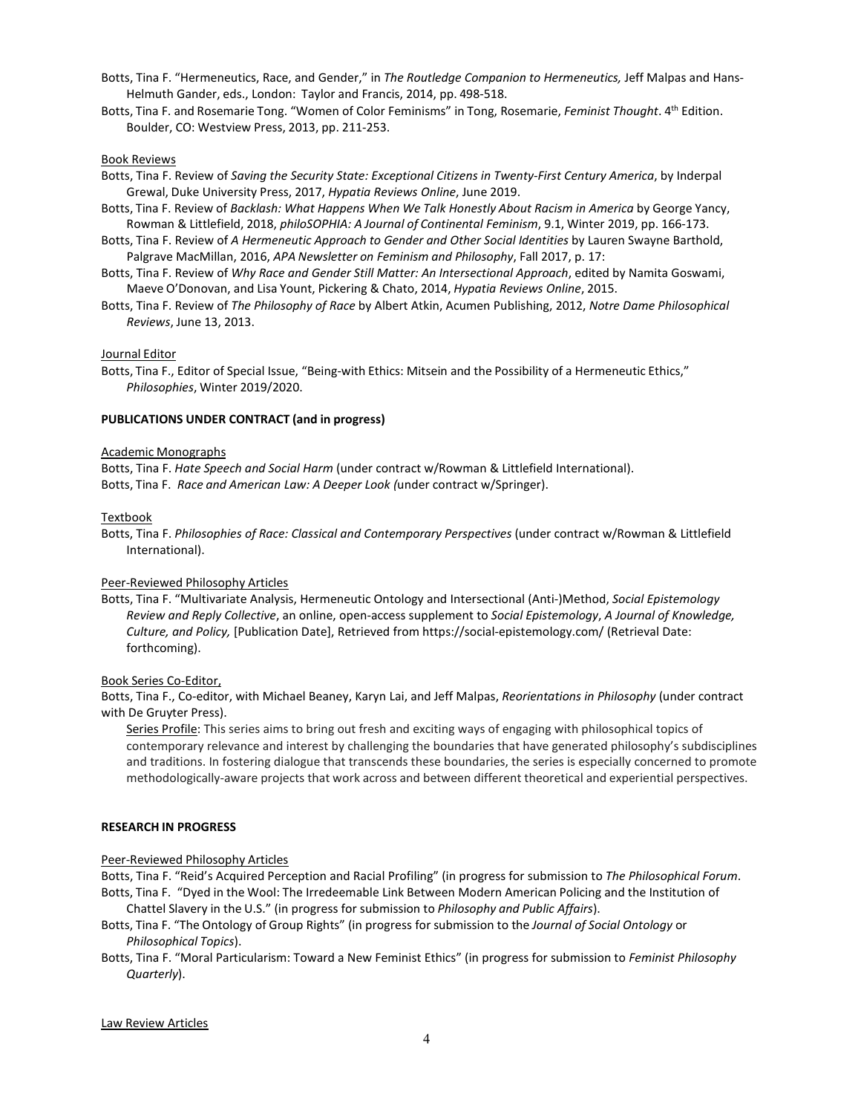- Botts, Tina F. "Hermeneutics, Race, and Gender," in *The Routledge Companion to Hermeneutics,* Jeff Malpas and Hans-Helmuth Gander, eds., London: Taylor and Francis, 2014, pp. 498-518.
- Botts, Tina F. and Rosemarie Tong. "Women of Color Feminisms" in Tong, Rosemarie, *Feminist Thought*. 4th Edition. Boulder, CO: Westview Press, 2013, pp. 211-253.

## Book Reviews

- Botts, Tina F. Review of *Saving the Security State: Exceptional Citizens in Twenty-First Century America*, by Inderpal Grewal, Duke University Press, 2017, *Hypatia Reviews Online*, June 2019.
- Botts, Tina F. Review of *Backlash: What Happens When We Talk Honestly About Racism in America* by George Yancy, Rowman & Littlefield, 2018, *philoSOPHIA: A Journal of Continental Feminism*, 9.1, Winter 2019, pp. 166-173.
- Botts, Tina F. Review of *A Hermeneutic Approach to Gender and Other Social Identities* by Lauren Swayne Barthold, Palgrave MacMillan, 2016, *APA Newsletter on Feminism and Philosophy*, Fall 2017, p. 17:
- Botts, Tina F. Review of *Why Race and Gender Still Matter: An Intersectional Approach*, edited by Namita Goswami, Maeve O'Donovan, and Lisa Yount, Pickering & Chato, 2014, *Hypatia Reviews Online*, 2015.
- Botts, Tina F. Review of *The Philosophy of Race* by Albert Atkin, Acumen Publishing, 2012, *Notre Dame Philosophical Reviews*, June 13, 2013.

## Journal Editor

Botts, Tina F., Editor of Special Issue, "Being-with Ethics: Mitsein and the Possibility of a Hermeneutic Ethics," *Philosophies*, Winter 2019/2020.

## **PUBLICATIONS UNDER CONTRACT (and in progress)**

### Academic Monographs

Botts, Tina F. *Hate Speech and Social Harm* (under contract w/Rowman & Littlefield International). Botts, Tina F. *Race and American Law: A Deeper Look (*under contract w/Springer).

### **Textbook**

Botts, Tina F. *Philosophies of Race: Classical and Contemporary Perspectives* (under contract w/Rowman & Littlefield International).

## Peer-Reviewed Philosophy Articles

Botts, Tina F. "Multivariate Analysis, Hermeneutic Ontology and Intersectional (Anti-)Method, *Social Epistemology Review and Reply Collective*, an online, open-access supplement to *Social Epistemology*, *A Journal of Knowledge, Culture, and Policy,* [Publication Date], Retrieved from https://social-epistemology.com/ (Retrieval Date: forthcoming).

## Book Series Co-Editor,

Botts, Tina F., Co-editor, with Michael Beaney, Karyn Lai, and Jeff Malpas, *Reorientations in Philosophy* (under contract with De Gruyter Press).

Series Profile: This series aims to bring out fresh and exciting ways of engaging with philosophical topics of contemporary relevance and interest by challenging the boundaries that have generated philosophy's subdisciplines and traditions. In fostering dialogue that transcends these boundaries, the series is especially concerned to promote methodologically-aware projects that work across and between different theoretical and experiential perspectives.

### **RESEARCH IN PROGRESS**

## Peer-Reviewed Philosophy Articles

Botts, Tina F. "Reid's Acquired Perception and Racial Profiling" (in progress for submission to *The Philosophical Forum*. Botts, Tina F. "Dyed in the Wool: The Irredeemable Link Between Modern American Policing and the Institution of

Chattel Slavery in the U.S." (in progress for submission to *Philosophy and Public Affairs*).

- Botts, Tina F. "The Ontology of Group Rights" (in progress for submission to the *Journal of Social Ontology* or *Philosophical Topics*).
- Botts, Tina F. "Moral Particularism: Toward a New Feminist Ethics" (in progress for submission to *Feminist Philosophy Quarterly*).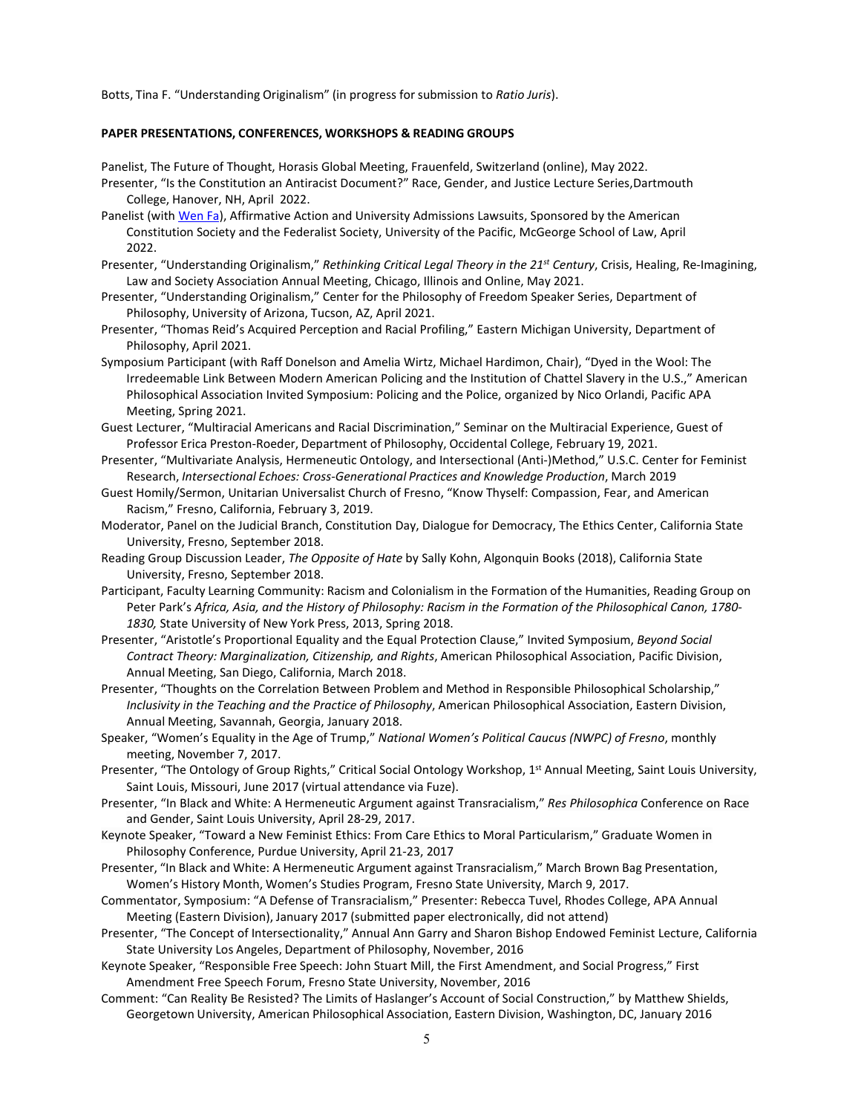Botts, Tina F. "Understanding Originalism" (in progress forsubmission to *Ratio Juris*).

## **PAPER PRESENTATIONS, CONFERENCES, WORKSHOPS & READING GROUPS**

Panelist, The Future of Thought, Horasis Global Meeting, Frauenfeld, Switzerland (online), May 2022.

- Presenter, "Is the Constitution an Antiracist Document?" Race, Gender, and Justice Lecture Series,Dartmouth College, Hanover, NH, April 2022.
- Panelist (with [Wen Fa\)](https://pacificlegal.org/staff/wen-fa/), Affirmative Action and University Admissions Lawsuits, Sponsored by the American Constitution Society and the Federalist Society, University of the Pacific, McGeorge School of Law, April 2022.
- Presenter, "Understanding Originalism," *Rethinking Critical Legal Theory in the 21st Century*, Crisis, Healing, Re-Imagining, Law and Society Association Annual Meeting, Chicago, Illinois and Online, May 2021.
- Presenter, "Understanding Originalism," Center for the Philosophy of Freedom Speaker Series, Department of Philosophy, University of Arizona, Tucson, AZ, April 2021.
- Presenter, "Thomas Reid's Acquired Perception and Racial Profiling," Eastern Michigan University, Department of Philosophy, April 2021.
- Symposium Participant (with Raff Donelson and Amelia Wirtz, Michael Hardimon, Chair), "Dyed in the Wool: The Irredeemable Link Between Modern American Policing and the Institution of Chattel Slavery in the U.S.," American Philosophical Association Invited Symposium: Policing and the Police, organized by Nico Orlandi, Pacific APA Meeting, Spring 2021.
- Guest Lecturer, "Multiracial Americans and Racial Discrimination," Seminar on the Multiracial Experience, Guest of Professor Erica Preston-Roeder, Department of Philosophy, Occidental College, February 19, 2021.
- Presenter, "Multivariate Analysis, Hermeneutic Ontology, and Intersectional (Anti-)Method," U.S.C. Center for Feminist Research, *Intersectional Echoes: Cross-Generational Practices and Knowledge Production*, March 2019
- Guest Homily/Sermon, Unitarian Universalist Church of Fresno, "Know Thyself: Compassion, Fear, and American Racism," Fresno, California, February 3, 2019.
- Moderator, Panel on the Judicial Branch, Constitution Day, Dialogue for Democracy, The Ethics Center, California State University, Fresno, September 2018.
- Reading Group Discussion Leader, *The Opposite of Hate* by Sally Kohn, Algonquin Books (2018), California State University, Fresno, September 2018.
- Participant, Faculty Learning Community: Racism and Colonialism in the Formation of the Humanities, Reading Group on Peter Park's *Africa, Asia, and the History of Philosophy: Racism in the Formation of the Philosophical Canon, 1780- 1830,* State University of New York Press, 2013, Spring 2018.
- Presenter, "Aristotle's Proportional Equality and the Equal Protection Clause," Invited Symposium, *Beyond Social Contract Theory: Marginalization, Citizenship, and Rights*, American Philosophical Association, Pacific Division, Annual Meeting, San Diego, California, March 2018.
- Presenter, "Thoughts on the Correlation Between Problem and Method in Responsible Philosophical Scholarship," *Inclusivity in the Teaching and the Practice of Philosophy*, American Philosophical Association, Eastern Division, Annual Meeting, Savannah, Georgia, January 2018.
- Speaker, "Women's Equality in the Age of Trump," *National Women's Political Caucus (NWPC) of Fresno*, monthly meeting, November 7, 2017.
- Presenter, "The Ontology of Group Rights," Critical Social Ontology Workshop, 1<sup>st</sup> Annual Meeting, Saint Louis University, Saint Louis, Missouri, June 2017 (virtual attendance via Fuze).
- Presenter, "In Black and White: A Hermeneutic Argument against Transracialism," *Res Philosophica* Conference on Race and Gender, Saint Louis University, April 28-29, 2017.
- Keynote Speaker, "Toward a New Feminist Ethics: From Care Ethics to Moral Particularism," Graduate Women in Philosophy Conference, Purdue University, April 21-23, 2017
- Presenter, "In Black and White: A Hermeneutic Argument against Transracialism," March Brown Bag Presentation, Women's History Month, Women's Studies Program, Fresno State University, March 9, 2017.
- Commentator, Symposium: "A Defense of Transracialism," Presenter: Rebecca Tuvel, Rhodes College, APA Annual Meeting (Eastern Division), January 2017 (submitted paper electronically, did not attend)
- Presenter, "The Concept of Intersectionality," Annual Ann Garry and Sharon Bishop Endowed Feminist Lecture, California State University Los Angeles, Department of Philosophy, November, 2016
- Keynote Speaker, "Responsible Free Speech: John Stuart Mill, the First Amendment, and Social Progress," First Amendment Free Speech Forum, Fresno State University, November, 2016
- Comment: "Can Reality Be Resisted? The Limits of Haslanger's Account of Social Construction," by Matthew Shields, Georgetown University, American Philosophical Association, Eastern Division, Washington, DC, January 2016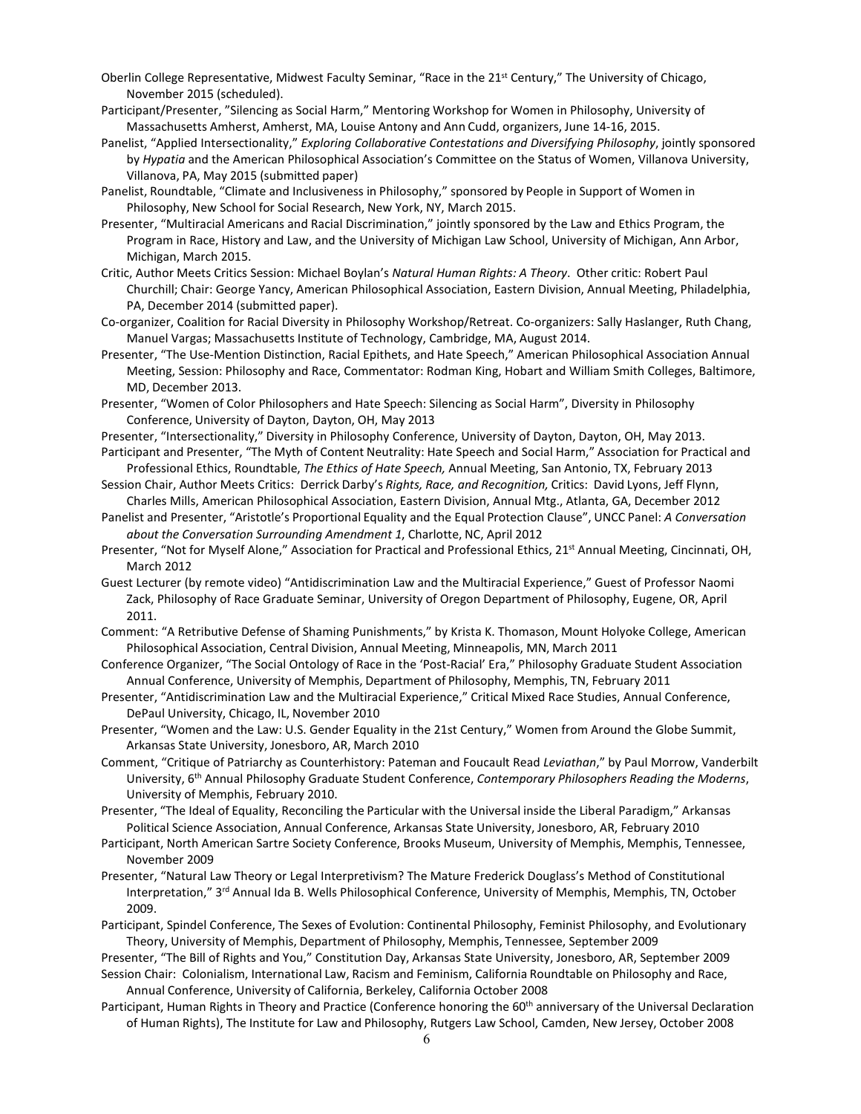- Oberlin College Representative, Midwest Faculty Seminar, "Race in the 21<sup>st</sup> Century," The University of Chicago, November 2015 (scheduled).
- Participant/Presenter, "Silencing as Social Harm," Mentoring Workshop for Women in Philosophy, University of Massachusetts Amherst, Amherst, MA, Louise Antony and Ann Cudd, organizers, June 14-16, 2015.
- Panelist, "Applied Intersectionality," *Exploring Collaborative Contestations and Diversifying Philosophy*, jointly sponsored by *Hypatia* and the American Philosophical Association's Committee on the Status of Women, Villanova University, Villanova, PA, May 2015 (submitted paper)
- Panelist, Roundtable, "Climate and Inclusiveness in Philosophy," sponsored by People in Support of Women in Philosophy, New School for Social Research, New York, NY, March 2015.
- Presenter, "Multiracial Americans and Racial Discrimination," jointly sponsored by the Law and Ethics Program, the Program in Race, History and Law, and the University of Michigan Law School, University of Michigan, Ann Arbor, Michigan, March 2015.
- Critic, Author Meets Critics Session: Michael Boylan's *Natural Human Rights: A Theory*. Other critic: Robert Paul Churchill; Chair: George Yancy, American Philosophical Association, Eastern Division, Annual Meeting, Philadelphia, PA, December 2014 (submitted paper).
- Co-organizer, Coalition for Racial Diversity in Philosophy Workshop/Retreat. Co-organizers: Sally Haslanger, Ruth Chang, Manuel Vargas; Massachusetts Institute of Technology, Cambridge, MA, August 2014.
- Presenter, "The Use-Mention Distinction, Racial Epithets, and Hate Speech," American Philosophical Association Annual Meeting, Session: Philosophy and Race, Commentator: Rodman King, Hobart and William Smith Colleges, Baltimore, MD, December 2013.
- Presenter, "Women of Color Philosophers and Hate Speech: Silencing as Social Harm", Diversity in Philosophy Conference, University of Dayton, Dayton, OH, May 2013
- Presenter, "Intersectionality," Diversity in Philosophy Conference, University of Dayton, Dayton, OH, May 2013. Participant and Presenter, "The Myth of Content Neutrality: Hate Speech and Social Harm," Association for Practical and
- Professional Ethics, Roundtable, *The Ethics of Hate Speech,* Annual Meeting, San Antonio, TX, February 2013 Session Chair, Author Meets Critics: Derrick Darby's *Rights, Race, and Recognition,* Critics: David Lyons, Jeff Flynn,
- Charles Mills, American Philosophical Association, Eastern Division, Annual Mtg., Atlanta, GA, December 2012
- Panelist and Presenter, "Aristotle's Proportional Equality and the Equal Protection Clause", UNCC Panel: *A Conversation about the Conversation Surrounding Amendment 1*, Charlotte, NC, April 2012
- Presenter, "Not for Myself Alone," Association for Practical and Professional Ethics, 21<sup>st</sup> Annual Meeting, Cincinnati, OH, March 2012
- Guest Lecturer (by remote video) "Antidiscrimination Law and the Multiracial Experience," Guest of Professor Naomi Zack, Philosophy of Race Graduate Seminar, University of Oregon Department of Philosophy, Eugene, OR, April 2011.
- Comment: "A Retributive Defense of Shaming Punishments," by Krista K. Thomason, Mount Holyoke College, American Philosophical Association, Central Division, Annual Meeting, Minneapolis, MN, March 2011
- Conference Organizer, "The Social Ontology of Race in the 'Post-Racial' Era," Philosophy Graduate Student Association Annual Conference, University of Memphis, Department of Philosophy, Memphis, TN, February 2011
- Presenter, "Antidiscrimination Law and the Multiracial Experience," Critical Mixed Race Studies, Annual Conference, DePaul University, Chicago, IL, November 2010
- Presenter, "Women and the Law: U.S. Gender Equality in the 21st Century," Women from Around the Globe Summit, Arkansas State University, Jonesboro, AR, March 2010
- Comment, "Critique of Patriarchy as Counterhistory: Pateman and Foucault Read *Leviathan*," by Paul Morrow, Vanderbilt University, 6th Annual Philosophy Graduate Student Conference, *Contemporary Philosophers Reading the Moderns*, University of Memphis, February 2010.
- Presenter, "The Ideal of Equality, Reconciling the Particular with the Universal inside the Liberal Paradigm," Arkansas Political Science Association, Annual Conference, Arkansas State University, Jonesboro, AR, February 2010
- Participant, North American Sartre Society Conference, Brooks Museum, University of Memphis, Memphis, Tennessee, November 2009
- Presenter, "Natural Law Theory or Legal Interpretivism? The Mature Frederick Douglass's Method of Constitutional Interpretation," 3rd Annual Ida B. Wells Philosophical Conference, University of Memphis, Memphis, TN, October 2009.
- Participant, Spindel Conference, The Sexes of Evolution: Continental Philosophy, Feminist Philosophy, and Evolutionary Theory, University of Memphis, Department of Philosophy, Memphis, Tennessee, September 2009

Presenter, "The Bill of Rights and You," Constitution Day, Arkansas State University, Jonesboro, AR, September 2009

- Session Chair: Colonialism, International Law, Racism and Feminism, California Roundtable on Philosophy and Race, Annual Conference, University of California, Berkeley, California October 2008
- Participant, Human Rights in Theory and Practice (Conference honoring the 60<sup>th</sup> anniversary of the Universal Declaration of Human Rights), The Institute for Law and Philosophy, Rutgers Law School, Camden, New Jersey, October 2008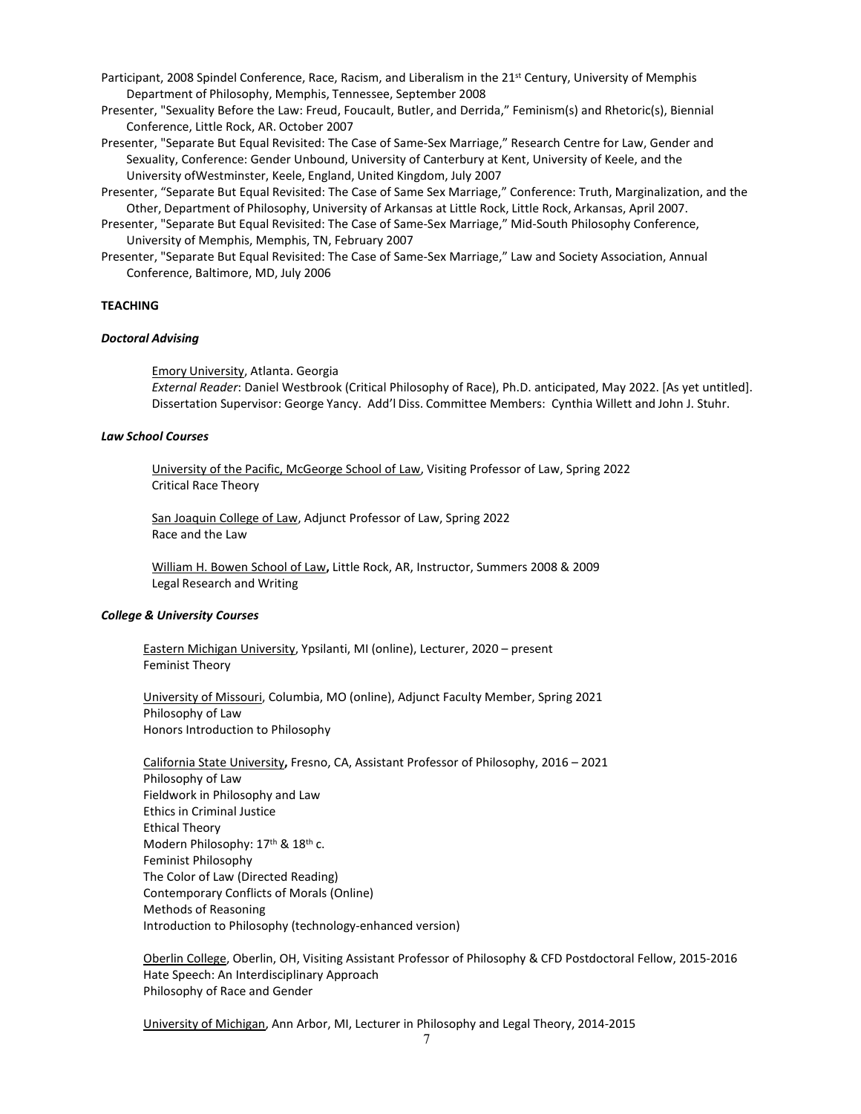- Participant, 2008 Spindel Conference, Race, Racism, and Liberalism in the 21<sup>st</sup> Century, University of Memphis Department of Philosophy, Memphis, Tennessee, September 2008
- Presenter, "Sexuality Before the Law: Freud, Foucault, Butler, and Derrida," Feminism(s) and Rhetoric(s), Biennial Conference, Little Rock, AR. October 2007
- Presenter, "Separate But Equal Revisited: The Case of Same-Sex Marriage," Research Centre for Law, Gender and Sexuality, Conference: Gender Unbound, University of Canterbury at Kent, University of Keele, and the University ofWestminster, Keele, England, United Kingdom, July 2007
- Presenter, "Separate But Equal Revisited: The Case of Same Sex Marriage," Conference: Truth, Marginalization, and the Other, Department of Philosophy, University of Arkansas at Little Rock, Little Rock, Arkansas, April 2007.
- Presenter, "Separate But Equal Revisited: The Case of Same-Sex Marriage," Mid-South Philosophy Conference, University of Memphis, Memphis, TN, February 2007
- Presenter, "Separate But Equal Revisited: The Case of Same-Sex Marriage," Law and Society Association, Annual Conference, Baltimore, MD, July 2006

# **TEACHING**

## *Doctoral Advising*

Emory University, Atlanta. Georgia *External Reader*: Daniel Westbrook (Critical Philosophy of Race), Ph.D. anticipated, May 2022. [As yet untitled]. Dissertation Supervisor: George Yancy. Add'l Diss. Committee Members: Cynthia Willett and John J. Stuhr.

### *Law School Courses*

University of the Pacific, McGeorge School of Law, Visiting Professor of Law, Spring 2022 Critical Race Theory

San Joaquin College of Law, Adjunct Professor of Law, Spring 2022 Race and the Law

William H. Bowen School of Law**,** Little Rock, AR, Instructor, Summers 2008 & 2009 Legal Research and Writing

## *College & University Courses*

Eastern Michigan University, Ypsilanti, MI (online), Lecturer, 2020 – present Feminist Theory

University of Missouri, Columbia, MO (online), Adjunct Faculty Member, Spring 2021 Philosophy of Law Honors Introduction to Philosophy

California State University**,** Fresno, CA, Assistant Professor of Philosophy, 2016 – 2021 Philosophy of Law Fieldwork in Philosophy and Law Ethics in Criminal Justice Ethical Theory Modern Philosophy: 17<sup>th</sup> & 18<sup>th</sup> c. Feminist Philosophy The Color of Law (Directed Reading) Contemporary Conflicts of Morals (Online) Methods of Reasoning Introduction to Philosophy (technology-enhanced version)

Oberlin College, Oberlin, OH, Visiting Assistant Professor of Philosophy & CFD Postdoctoral Fellow, 2015-2016 Hate Speech: An Interdisciplinary Approach Philosophy of Race and Gender

University of Michigan, Ann Arbor, MI, Lecturer in Philosophy and Legal Theory, 2014-2015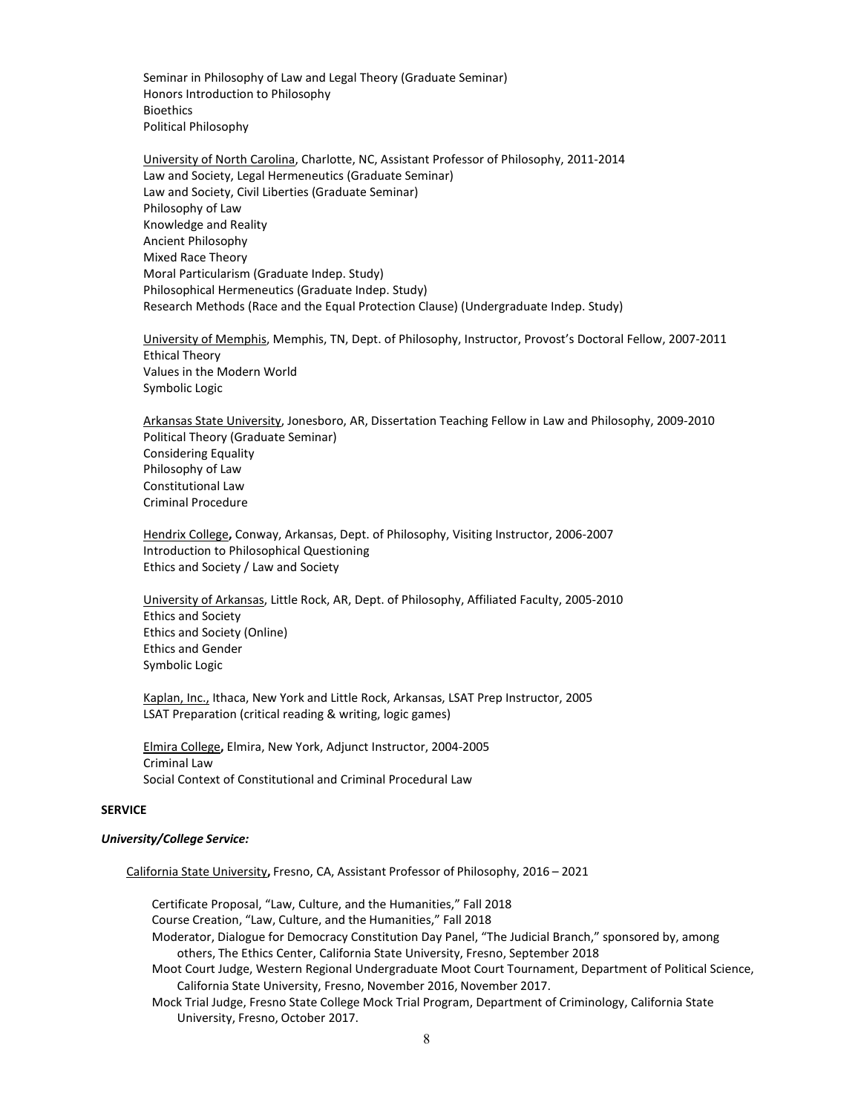Seminar in Philosophy of Law and Legal Theory (Graduate Seminar) Honors Introduction to Philosophy Bioethics Political Philosophy

University of North Carolina, Charlotte, NC, Assistant Professor of Philosophy, 2011-2014 Law and Society, Legal Hermeneutics (Graduate Seminar) Law and Society, Civil Liberties (Graduate Seminar) Philosophy of Law Knowledge and Reality Ancient Philosophy Mixed Race Theory Moral Particularism (Graduate Indep. Study) Philosophical Hermeneutics (Graduate Indep. Study) Research Methods (Race and the Equal Protection Clause) (Undergraduate Indep. Study)

University of Memphis, Memphis, TN, Dept. of Philosophy, Instructor, Provost's Doctoral Fellow, 2007-2011 Ethical Theory Values in the Modern World Symbolic Logic

Arkansas State University, Jonesboro, AR, Dissertation Teaching Fellow in Law and Philosophy, 2009-2010 Political Theory (Graduate Seminar) Considering Equality Philosophy of Law Constitutional Law Criminal Procedure

Hendrix College**,** Conway, Arkansas, Dept. of Philosophy, Visiting Instructor, 2006-2007 Introduction to Philosophical Questioning Ethics and Society / Law and Society

University of Arkansas, Little Rock, AR, Dept. of Philosophy, Affiliated Faculty, 2005-2010 Ethics and Society Ethics and Society (Online) Ethics and Gender Symbolic Logic

Kaplan, Inc., Ithaca, New York and Little Rock, Arkansas, LSAT Prep Instructor, 2005 LSAT Preparation (critical reading & writing, logic games)

Elmira College**,** Elmira, New York, Adjunct Instructor, 2004-2005 Criminal Law Social Context of Constitutional and Criminal Procedural Law

## **SERVICE**

#### *University/College Service:*

California State University**,** Fresno, CA, Assistant Professor of Philosophy, 2016 – 2021

Certificate Proposal, "Law, Culture, and the Humanities," Fall 2018 Course Creation, "Law, Culture, and the Humanities," Fall 2018 Moderator, Dialogue for Democracy Constitution Day Panel, "The Judicial Branch," sponsored by, among others, The Ethics Center, California State University, Fresno, September 2018 Moot Court Judge, Western Regional Undergraduate Moot Court Tournament, Department of Political Science, California State University, Fresno, November 2016, November 2017. Mock Trial Judge, Fresno State College Mock Trial Program, Department of Criminology, California State University, Fresno, October 2017.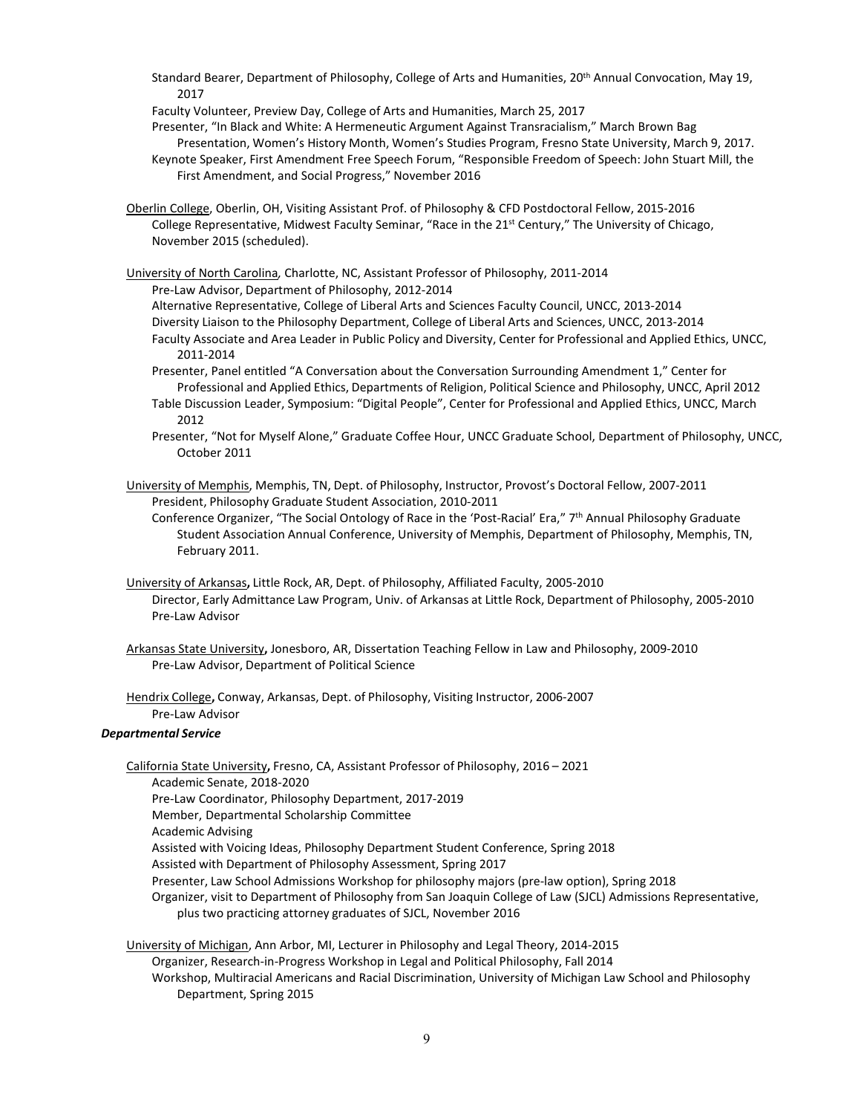Standard Bearer, Department of Philosophy, College of Arts and Humanities, 20<sup>th</sup> Annual Convocation, May 19, 2017

Faculty Volunteer, Preview Day, College of Arts and Humanities, March 25, 2017

Presenter, "In Black and White: A Hermeneutic Argument Against Transracialism," March Brown Bag Presentation, Women's History Month, Women's Studies Program, Fresno State University, March 9, 2017.

Keynote Speaker, First Amendment Free Speech Forum, "Responsible Freedom of Speech: John Stuart Mill, the First Amendment, and Social Progress," November 2016

Oberlin College, Oberlin, OH, Visiting Assistant Prof. of Philosophy & CFD Postdoctoral Fellow, 2015-2016 College Representative, Midwest Faculty Seminar, "Race in the 21<sup>st</sup> Century," The University of Chicago, November 2015 (scheduled).

University of North Carolina*,* Charlotte, NC, Assistant Professor of Philosophy, 2011-2014

Pre-Law Advisor, Department of Philosophy, 2012-2014

Alternative Representative, College of Liberal Arts and Sciences Faculty Council, UNCC, 2013-2014 Diversity Liaison to the Philosophy Department, College of Liberal Arts and Sciences, UNCC, 2013-2014 Faculty Associate and Area Leader in Public Policy and Diversity, Center for Professional and Applied Ethics, UNCC,

2011-2014 Presenter, Panel entitled "A Conversation about the Conversation Surrounding Amendment 1," Center for Professional and Applied Ethics, Departments of Religion, Political Science and Philosophy, UNCC, April 2012

Table Discussion Leader, Symposium: "Digital People", Center for Professional and Applied Ethics, UNCC, March 2012

Presenter, "Not for Myself Alone," Graduate Coffee Hour, UNCC Graduate School, Department of Philosophy, UNCC, October 2011

University of Memphis, Memphis, TN, Dept. of Philosophy, Instructor, Provost's Doctoral Fellow, 2007-2011 President, Philosophy Graduate Student Association, 2010-2011

Conference Organizer, "The Social Ontology of Race in the 'Post-Racial' Era," 7th Annual Philosophy Graduate Student Association Annual Conference, University of Memphis, Department of Philosophy, Memphis, TN, February 2011.

- University of Arkansas**,** Little Rock, AR, Dept. of Philosophy, Affiliated Faculty, 2005-2010 Director, Early Admittance Law Program, Univ. of Arkansas at Little Rock, Department of Philosophy, 2005-2010 Pre-Law Advisor
- Arkansas State University**,** Jonesboro, AR, Dissertation Teaching Fellow in Law and Philosophy, 2009-2010 Pre-Law Advisor, Department of Political Science

Hendrix College**,** Conway, Arkansas, Dept. of Philosophy, Visiting Instructor, 2006-2007 Pre-Law Advisor

## *Departmental Service*

California State University**,** Fresno, CA, Assistant Professor of Philosophy, 2016 – 2021 Academic Senate, 2018-2020 Pre-Law Coordinator, Philosophy Department, 2017-2019 Member, Departmental Scholarship Committee Academic Advising Assisted with Voicing Ideas, Philosophy Department Student Conference, Spring 2018 Assisted with Department of Philosophy Assessment, Spring 2017 Presenter, Law School Admissions Workshop for philosophy majors (pre-law option), Spring 2018 Organizer, visit to Department of Philosophy from San Joaquin College of Law (SJCL) Admissions Representative, plus two practicing attorney graduates of SJCL, November 2016

University of Michigan, Ann Arbor, MI, Lecturer in Philosophy and Legal Theory, 2014-2015 Organizer, Research-in-Progress Workshop in Legal and Political Philosophy, Fall 2014 Workshop, Multiracial Americans and Racial Discrimination, University of Michigan Law School and Philosophy Department, Spring 2015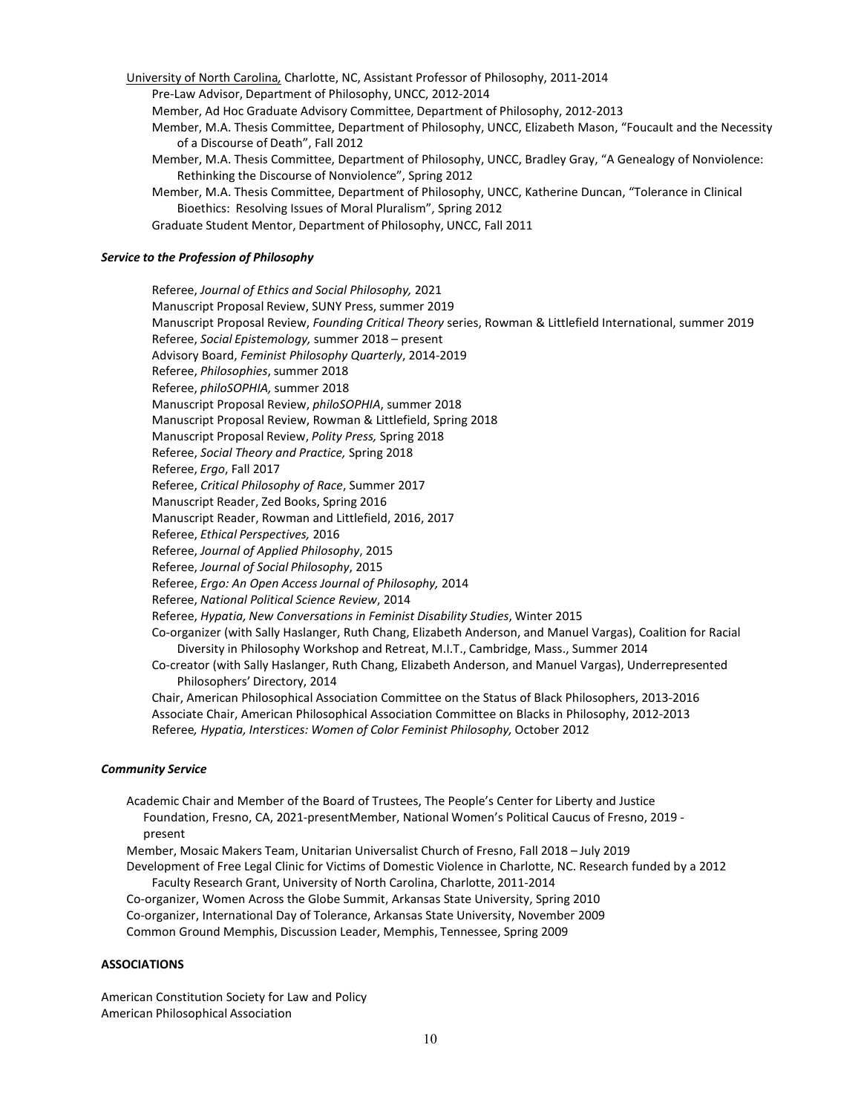University of North Carolina*,* Charlotte, NC, Assistant Professor of Philosophy, 2011-2014 Pre-Law Advisor, Department of Philosophy, UNCC, 2012-2014 Member, Ad Hoc Graduate Advisory Committee, Department of Philosophy, 2012-2013 Member, M.A. Thesis Committee, Department of Philosophy, UNCC, Elizabeth Mason, "Foucault and the Necessity of a Discourse of Death", Fall 2012 Member, M.A. Thesis Committee, Department of Philosophy, UNCC, Bradley Gray, "A Genealogy of Nonviolence: Rethinking the Discourse of Nonviolence", Spring 2012 Member, M.A. Thesis Committee, Department of Philosophy, UNCC, Katherine Duncan, "Tolerance in Clinical Bioethics: Resolving Issues of Moral Pluralism", Spring 2012

Graduate Student Mentor, Department of Philosophy, UNCC, Fall 2011

# *Service to the Profession of Philosophy*

Referee, *Journal of Ethics and Social Philosophy,* 2021 Manuscript Proposal Review, SUNY Press, summer 2019 Manuscript Proposal Review, *Founding Critical Theory* series, Rowman & Littlefield International, summer 2019 Referee, *Social Epistemology,* summer 2018 – present Advisory Board, *Feminist Philosophy Quarterly*, 2014-2019 Referee, *Philosophies*, summer 2018 Referee, *philoSOPHIA,* summer 2018 Manuscript Proposal Review, *philoSOPHIA*, summer 2018 Manuscript Proposal Review, Rowman & Littlefield, Spring 2018 Manuscript Proposal Review, *Polity Press,* Spring 2018 Referee, *Social Theory and Practice,* Spring 2018 Referee, *Ergo*, Fall 2017 Referee, *Critical Philosophy of Race*, Summer 2017 Manuscript Reader, Zed Books, Spring 2016 Manuscript Reader, Rowman and Littlefield, 2016, 2017 Referee, *Ethical Perspectives,* 2016 Referee, *Journal of Applied Philosophy*, 2015 Referee, *Journal of Social Philosophy*, 2015 Referee, *Ergo: An Open Access Journal of Philosophy,* 2014 Referee, *National Political Science Review*, 2014 Referee, *Hypatia, New Conversations in Feminist Disability Studies*, Winter 2015 Co-organizer (with Sally Haslanger, Ruth Chang, Elizabeth Anderson, and Manuel Vargas), Coalition for Racial Diversity in Philosophy Workshop and Retreat, M.I.T., Cambridge, Mass., Summer 2014 Co-creator (with Sally Haslanger, Ruth Chang, Elizabeth Anderson, and Manuel Vargas), Underrepresented Philosophers' Directory, 2014 Chair, American Philosophical Association Committee on the Status of Black Philosophers, 2013-2016 Associate Chair, American Philosophical Association Committee on Blacks in Philosophy, 2012-2013 Referee*, Hypatia, Interstices: Women of Color Feminist Philosophy,* October 2012

### *Community Service*

Academic Chair and Member of the Board of Trustees, The People's Center for Liberty and Justice Foundation, Fresno, CA, 2021-presentMember, National Women's Political Caucus of Fresno, 2019 present Member, Mosaic Makers Team, Unitarian Universalist Church of Fresno, Fall 2018 – July 2019 Development of Free Legal Clinic for Victims of Domestic Violence in Charlotte, NC. Research funded by a 2012 Faculty Research Grant, University of North Carolina, Charlotte, 2011-2014 Co-organizer, Women Across the Globe Summit, Arkansas State University, Spring 2010 Co-organizer, International Day of Tolerance, Arkansas State University, November 2009 Common Ground Memphis, Discussion Leader, Memphis, Tennessee, Spring 2009

### **ASSOCIATIONS**

American Constitution Society for Law and Policy American Philosophical Association